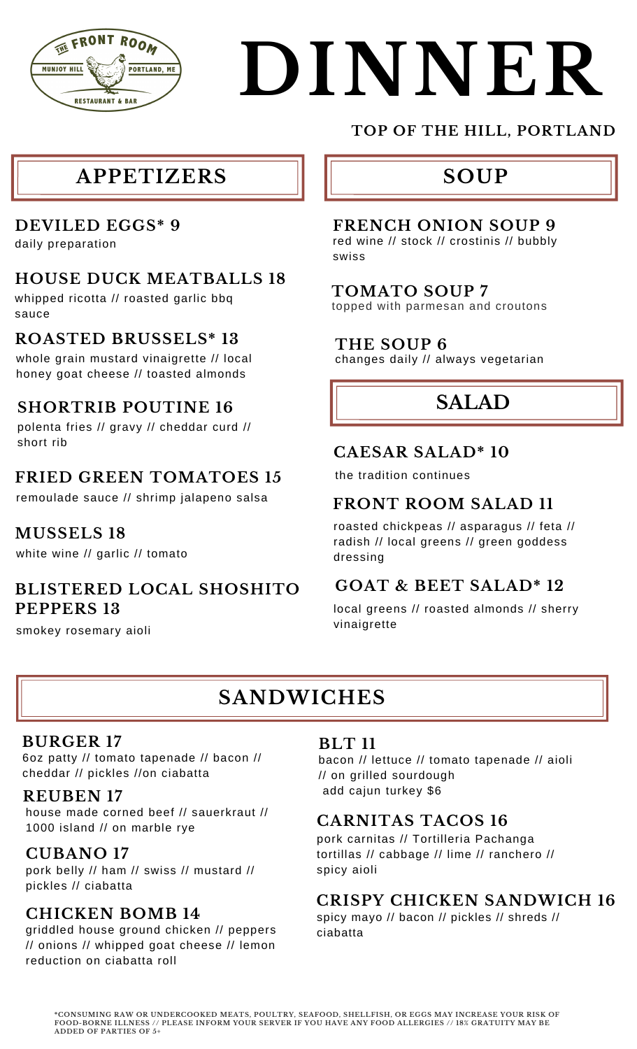

# **DINNER**

### **APPETIZERS**

#### **DEVILED EGGS\* 9**

daily preparation

#### **HOUSE DUCK MEATBALLS 18**

whipped ricotta // roasted garlic bbq sauce

#### **ROASTED BRUSSELS\* 13**

whole grain mustard vinaigrette // local honey goat cheese // toasted almonds

#### **SHORTRIB POUTINE 16**

polenta fries // gravy // cheddar curd // short rib

#### **FRIED GREEN TOMATOES 15**

remoulade sauce // shrimp jalapeno salsa

#### **MUSSELS 18**

white wine // garlic // tomato

#### **BLISTERED LOCAL SHOSHITO PEPPERS 13**

smokey rosemary aioli

#### **TOP OF THE HILL, PORTLAND**

# **SOUP**

#### **FRENCH ONION SOUP 9**

red wine // stock // crostinis // bubbly swiss

#### **TOMATO SOUP 7**

topped with parmesan and croutons

#### **THE SOUP 6**

changes daily // always vegetarian

# **SALAD**

#### **CAESAR SALAD\* 10**

the tradition continues

#### **FRONT ROOM SALAD 11**

roasted chickpeas // asparagus // feta // radish // local greens // green goddess dressing

#### **GOAT & BEET SALAD\* 12**

local greens // roasted almonds // sherry vinaigrette

# **SANDWICHES**

#### **BURGER 17**

6oz patty // tomato tapenade // bacon // cheddar // pickles //on ciabatta

#### **REUBEN 17**

house made corned beef // sauerkraut // <sup>1000</sup> island // on marble rye **CARNITAS TACOS 16**

#### **CUBANO 17**

pork belly // ham // swiss // mustard // pickles // ciabatta

#### **CHICKEN BOMB 14**

griddled house ground chicken // peppers // onions // whipped goat cheese // lemon reduction on ciabatta roll

#### **BLT 11**

bacon // lettuce // tomato tapenade // aioli // on grilled sourdough add cajun turkey \$6

pork carnitas // Tortilleria Pachanga tortillas // cabbage // lime // ranchero // spicy aioli

#### **CRISPY CHICKEN SANDWICH 16**

spicy mayo // bacon // pickles // shreds // ciabatta